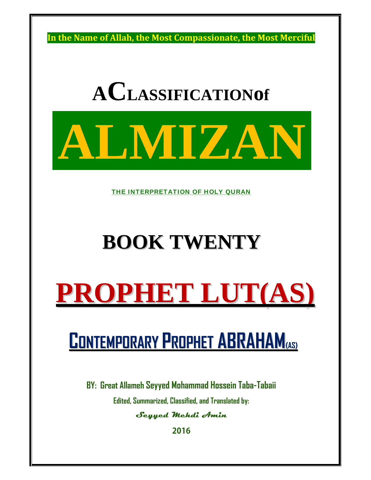**In the Name of Allah, the Most Compassionate, the Most Merciful**

# **ACLASSIFICATIONof**



THE INTERPRETATION OF HOLY QURAN

## **BOOK TWENTY**

## **PROPHET LUT(AS)**

### **CONTEMPORARY PROPHET ABRAHAM(AS)**

**BY: Great Allameh Seyyed Mohammad Hossein Taba-Tabaii** 

**Edited, Summarized, Classified, and Translated by:**

#### **Seyyed Mehdi Amin**

**2016**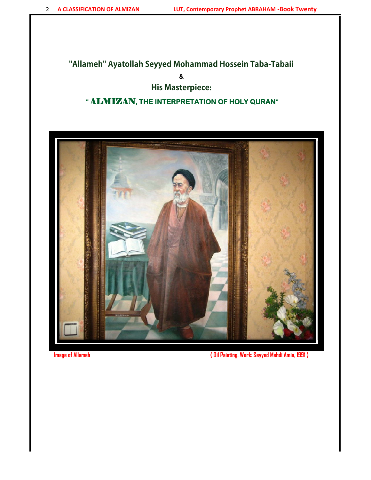#### **"Allameh" Ayatollah Seyyed Mohammad Hossein Taba-Tabaii**

**&** 

#### **His Masterpiece:**

#### **"** ALMIZAN**, THE INTERPRETATION OF HOLY QURAN"**



**Image of Allameh ( Oil Painting. Work: Seyyed Mehdi Amin, 1991 )**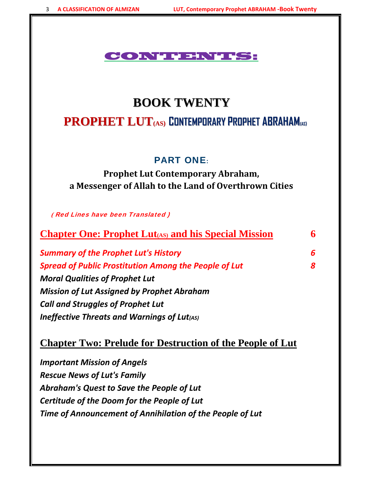#### CONTENTS:

#### **BOOK TWENTY**

#### **PROPHET LUT(AS) CONTEMPORARY PROPHET ABRAHAM(AS)**

#### PART ONE:

**Prophet Lut Contemporary Abraham, a Messenger of Allah to the Land of Overthrown Cities**

 **(** Red Lines have been Translated )

| <b>Chapter One: Prophet Lut</b> (AS) and his Special Mission | 6 |
|--------------------------------------------------------------|---|
| <b>Summary of the Prophet Lut's History</b>                  | 6 |
| <b>Spread of Public Prostitution Among the People of Lut</b> |   |
| <b>Moral Qualities of Prophet Lut</b>                        |   |
| <b>Mission of Lut Assigned by Prophet Abraham</b>            |   |
| <b>Call and Struggles of Prophet Lut</b>                     |   |

*Ineffective Threats and Warnings of Lut(AS)*

#### **Chapter Two: Prelude for Destruction of the People of Lut**

*Important Mission of Angels Rescue News of Lut's Family Abraham's Quest to Save the People of Lut Certitude of the Doom for the People of Lut Time of Announcement of Annihilation of the People of Lut*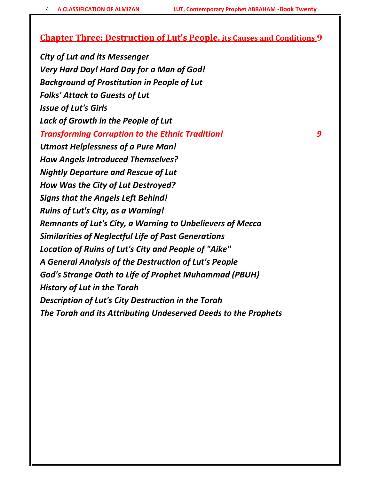#### **Chapter Three: Destruction of Lut's People, its Causes and Conditions 9**

*City of Lut and its Messenger Very Hard Day! Hard Day for a Man of God! Background of Prostitution in People of Lut Folks' Attack to Guests of Lut Issue of Lut's Girls Lack of Growth in the People of Lut Transforming Corruption to the Ethnic Tradition! 9 Utmost Helplessness of a Pure Man! How Angels Introduced Themselves? Nightly Departure and Rescue of Lut How Was the City of Lut Destroyed? Signs that the Angels Left Behind! Ruins of Lut's City, as a Warning! Remnants of Lut's City, a Warning to Unbelievers of Mecca Similarities of Neglectful Life of Past Generations Location of Ruins of Lut's City and People of "Aike" A General Analysis of the Destruction of Lut's People God's Strange Oath to Life of Prophet Muhammad (PBUH) History of Lut in the Torah Description of Lut's City Destruction in the Torah The Torah and its Attributing Undeserved Deeds to the Prophets*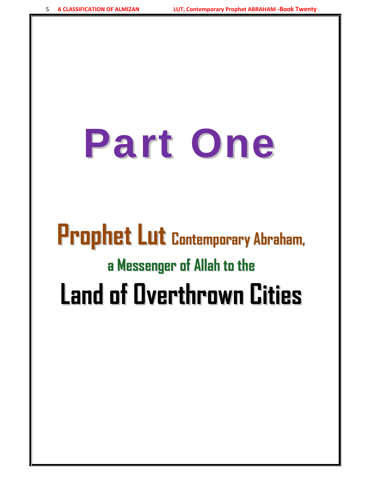# Part One

# **Prophet Lut Contemporary Abraham, a Messenger of Allah to the Land of Overthrown Cities**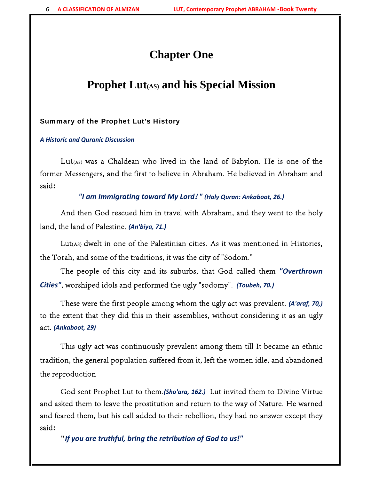#### **Chapter One**

#### Prophet Lut<sub>(AS)</sub> and his Special Mission

#### Summary of the Prophet Lut's History

*A Historic and Quranic Discussion*

Lut<sub>(AS)</sub> was a Chaldean who lived in the land of Babylon. He is one of the former Messengers, and the first to believe in Abraham. He believed in Abraham and said**:**

*"I am Immigrating toward My Lord***!** *" (Holy Quran: Ankaboot, 26.)*

And then God rescued him in travel with Abraham, and they went to the holy land, the land of Palestine. *(An'biya, 71.)*

Lut(AS) dwelt in one of the Palestinian cities. As it was mentioned in Histories, the Torah, and some of the traditions, it was the city of "Sodom."

The people of this city and its suburbs, that God called them *"Overthrown Cities"*, worshiped idols and performed the ugly "sodomy". *(Toubeh, 70.)*

These were the first people among whom the ugly act was prevalent. *(A'araf, 70,)* to the extent that they did this in their assemblies, without considering it as an ugly act. *(Ankaboot, 29)*

This ugly act was continuously prevalent among them till It became an ethnic tradition, the general population suffered from it, left the women idle, and abandoned the reproduction

God sent Prophet Lut to them.*(Sho'ara, 162.)* Lut invited them to Divine Virtue and asked them to leave the prostitution and return to the way of Nature. He warned and feared them, but his call added to their rebellion, they had no answer except they said**:**

**"***If you are truthful, bring the retribution of God to us!"*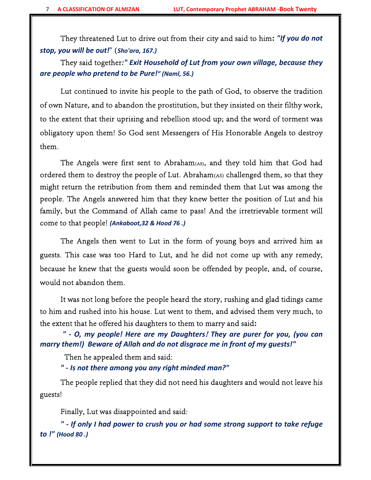They threatened Lut to drive out from their city and said to him**:** *"If you do not stop, you will be out!*" (*Sho'ara, 167.)*

They said together*:" Exit Household of Lut from your own village, because they are people who pretend to be Pure!" (Naml, 56.)*

Lut continued to invite his people to the path of God, to observe the tradition of own Nature, and to abandon the prostitution, but they insisted on their filthy work, to the extent that their uprising and rebellion stood up; and the word of torment was obligatory upon them! So God sent Messengers of His Honorable Angels to destroy them.

The Angels were first sent to Abraham(AS), and they told him that God had ordered them to destroy the people of Lut. Abraham(AS) challenged them, so that they might return the retribution from them and reminded them that Lut was among the people. The Angels answered him that they knew better the position of Lut and his family, but the Command of Allah came to pass! And the irretrievable torment will come to that people! *(Ankaboot,32 & Hood 76 .)*

The Angels then went to Lut in the form of young boys and arrived him as guests. This case was too Hard to Lut, and he did not come up with any remedy, because he knew that the guests would soon be offended by people, and, of course, would not abandon them.

It was not long before the people heard the story, rushing and glad tidings came to him and rushed into his house. Lut went to them, and advised them very much, to the extent that he offered his daughters to them to marry and said**:**

*" ‐ O, my people! Here are my Daughters***!** *They are purer for you, (you can marry them!) Beware of Allah and do not disgrace me in front of my guests!"*

Then he appealed them and said:

*" ‐ Is not there among you any right minded man?"*

The people replied that they did not need his daughters and would not leave his guests!

Finally, Lut was disappointed and said:

*" ‐ If only I had power to crush you or had some strong support to take refuge to !" (Hood 80 .)*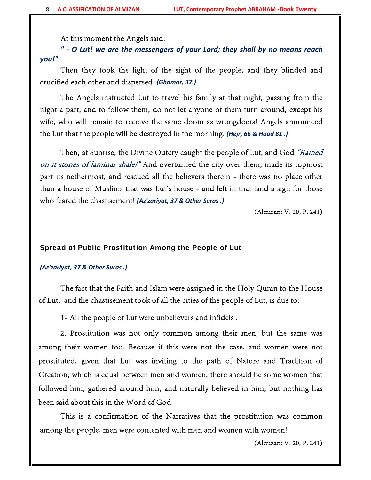At this moment the Angels said:

*" ‐ O Lut! we are the messengers of your Lord; they shall by no means reach you!"*

Then they took the light of the sight of the people, and they blinded and crucified each other and dispersed. *(Ghamar, 37.)*

The Angels instructed Lut to travel his family at that night, passing from the night a part, and to follow them; do not let anyone of them turn around, except his wife, who will remain to receive the same doom as wrongdoers! Angels announced the Lut that the people will be destroyed in the morning. *(Hejr, 66 & Hood 81 .)*

Then, at Sunrise, the Divine Outcry caught the people of Lut, and God "Rained on it stones of laminar shale!" And overturned the city over them, made its topmost part its nethermost, and rescued all the believers therein - there was no place other than a house of Muslims that was Lut's house - and left in that land a sign for those who feared the chastisement! *(Az'zariyat, 37 & Other Suras .)*

(Almizan: V. 20, P. 241)

#### Spread of Public Prostitution Among the People of Lut

#### *(Az'zariyat, 37 & Other Suras .)*

The fact that the Faith and Islam were assigned in the Holy Quran to the House of Lut, and the chastisement took of all the cities of the people of Lut, is due to:

1- All the people of Lut were unbelievers and infidels .

2. Prostitution was not only common among their men, but the same was among their women too. Because if this were not the case, and women were not prostituted, given that Lut was inviting to the path of Nature and Tradition of Creation, which is equal between men and women, there should be some women that followed him, gathered around him, and naturally believed in him, but nothing has been said about this in the Word of God.

This is a confirmation of the Narratives that the prostitution was common among the people, men were contented with men and women with women!

(Almizan: V. 20, P. 241)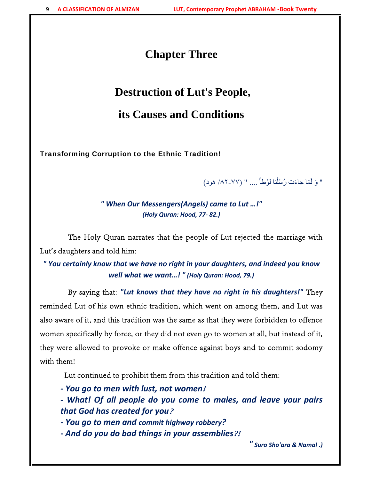#### **Chapter Three**

#### **Destruction of Lut's People,**

#### **its Causes and Conditions**

Transforming Corruption to the Ethnic Tradition!

" وَ لَمّا جاءَت رُسُلُنا لوُطاً .... " (٧٧-٨٢/ هود) َ

*" When Our Messengers(Angels) came to Lut …!" (Holy Quran: Hood, 77‐ 82.)*

 The Holy Quran narrates that the people of Lut rejected the marriage with Lut's daughters and told him:

*" You certainly know that we have no right in your daughters, and indeed you know well what we want…! " (Holy Quran: Hood, 79.)*

 By saying that: *"Lut knows that they have no right in his daughters!"* They reminded Lut of his own ethnic tradition, which went on among them, and Lut was also aware of it, and this tradition was the same as that they were forbidden to offence women specifically by force, or they did not even go to women at all, but instead of it, they were allowed to provoke or make offence against boys and to commit sodomy with them!

Lut continued to prohibit them from this tradition and told them:

- *‐ You go to men with lust, not women***!**
- *‐ What! Of all people do you come to males, and leave your pairs that God has created for you***?**
- *‐ You go to men and commit highway robbery?*
- *‐ And do you do bad things in your assemblies***?!**

*" Sura Sho'ara & Namal .)*